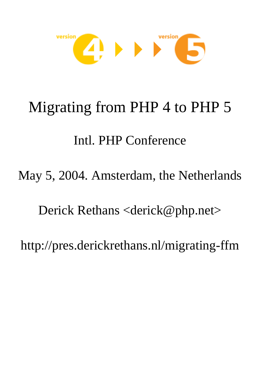

# Migrating from PHP 4 to PHP 5

## Intl. PHP Conference

May 5, 2004. Amsterdam, the Netherlands

Derick Rethans <derick@php.net>

http://pres.derickrethans.nl/migrating-ffm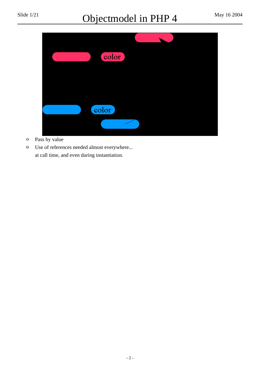## Slide  $1/21$  Objectmodel in PHP 4 May 16 2004



- <sup>o</sup> Pass by value
- <sup>o</sup> Use of references needed almost everywhere... at call time, and even during instantiation.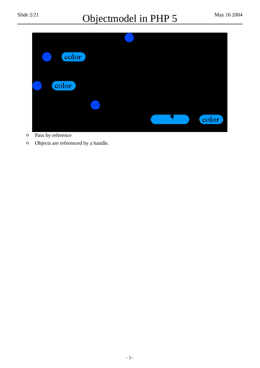## Slide  $2/21$  Objectmodel in PHP 5 May 16 2004



- <sup>o</sup> Pass by reference
- <sup>o</sup> Objects are referenced by a handle.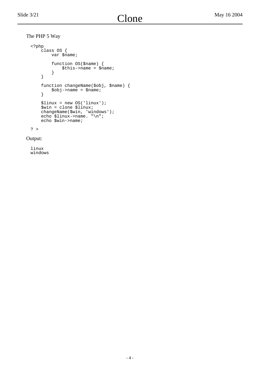The PHP 5 Way

```
<?php
    class OS {
       var $name;
 function OS($name) {
 $this->name = $name;
 }
    }
    function changeName($obj, $name) {
       $obj-<i>name</i> = $name; }
 $linux = new OS('linux');
 $win = clone $linux;
 changeName($win, 'windows');
 echo $linux->name. "\n";
 echo $win->name;
```

```
? >
```
#### Output:

linux windows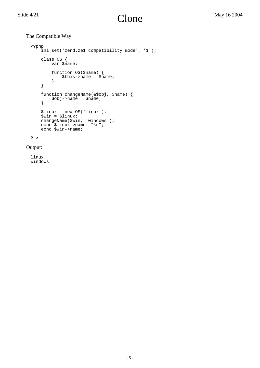#### The Compatible Way

```
<?php
     ini_set('zend.ze1_compatibility_mode', '1');
     class OS {
        var $name;
         function OS($name) {
        $this->name = $name;<br>}
 }
     }
     function changeName(&$obj, $name) {
         $obj->name = $name;
     }
     $linux = new OS('linux');
     $win = $linux;
 changeName($win, 'windows');
 echo $linux->name. "\n";
     echo $win->name;
```
? >

Output:

linux windows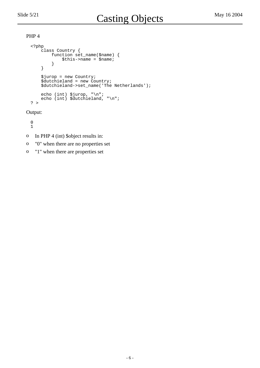```
<?php
     class Country {
         function set_name($name) {
            $this \rightarrow name = $name; }
     }
     $jurop = new Country;
 $dutchieland = new Country;
 $dutchieland->set_name('The Netherlands');
 echo (int) $jurop, "\n";
 echo (int) $dutchieland, "\n";
? >
```
Output:

0 1

- <sup>o</sup> In PHP 4 (int) \$object results in:
- <sup>o</sup> "0" when there are no properties set
- <sup>o</sup> "1" when there are properties set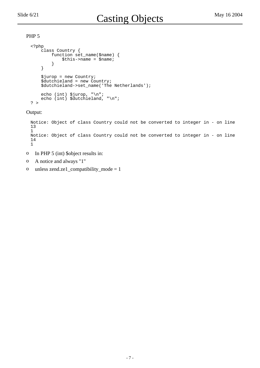```
<?php
     class Country {
        function set_name($name) {
             $this->name = $name;
 }
     }
     $jurop = new Country;
 $dutchieland = new Country;
 $dutchieland->set_name('The Netherlands');
     echo (int) $jurop, "\n";
    echo (int) $dutchieland, "\n";
? >
```
Output:

```
Notice: Object of class Country could not be converted to integer in - on line
13
1
Notice: Object of class Country could not be converted to integer in - on line
14
1
```
- <sup>o</sup> In PHP 5 (int) \$object results in:
- <sup>o</sup> A notice and always "1"
- o unless zend.ze1\_compatibility\_mode =  $1$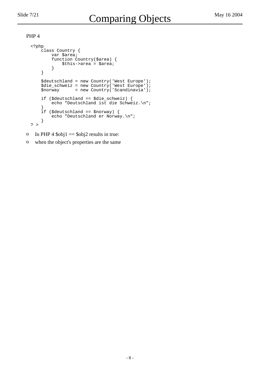```
<?php
     class Country {
         var $area;
         function Country($area) {
             $this->area = $area;
 }
     }
 $deutschland = new Country('West Europe');
 $die_schweiz = new Country('West Europe');
    \overline{\text{spor}} = new Country('Scandinavia');
     if ($deutschland == $die_schweiz) {
         echo "Deutschland ist die Schweiz.\n";
 }
     if ($deutschland == $norway) {
         echo "Deutschland er Norway.\n";
     }
? >
```
- o In PHP 4  $\delta$ obj1 =  $\delta$ obj2 results in true:
- <sup>o</sup> when the object's properties are the same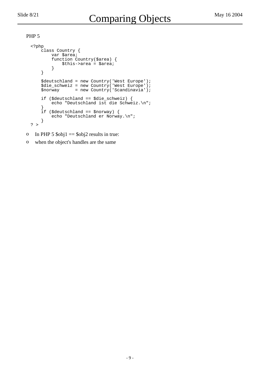```
<?php
     class Country {
         var $area;
         function Country($area) {
             $this->area = $area;
         }
     }
 $deutschland = new Country('West Europe');
 $die_schweiz = new Country('West Europe');
    \overline{\text{spor}} = new Country('Scandinavia');
     if ($deutschland == $die_schweiz) {
         echo "Deutschland ist die Schweiz.\n";
 }
     if ($deutschland == $norway) {
         echo "Deutschland er Norway.\n";
     }
? >
```
- o In PHP 5  $\delta$ obj1 =  $\delta$ obj2 results in true:
- <sup>o</sup> when the object's handles are the same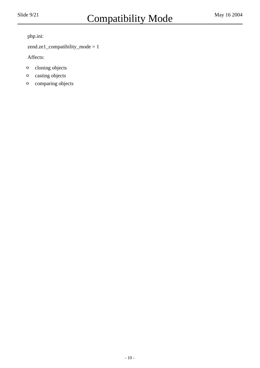php.ini: 

 zend.ze1\_compatibility\_mode = 1 

 Affects: 

- <sup>o</sup> cloning objects
- <sup>o</sup> casting objects
- <sup>o</sup> comparing objects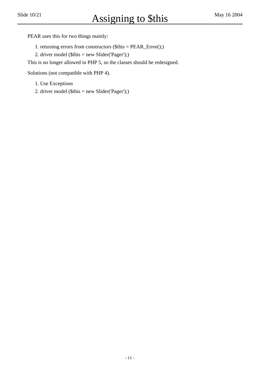PEAR uses this for two things mainly: 

1. returning errors from constructors (\$this = PEAR\_Error();)

2. driver model (\$this = new Slider('Pager');)

 This is no longer allowed in PHP 5, so the classes should be redesigned. 

 Solutions (not compatible with PHP 4). 

- 1. Use Exceptions
- 2. driver model (\$this = new Slider('Pager');)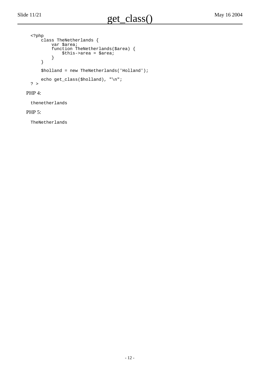```
<?php
     class TheNetherlands {
         var $area;
         function TheNetherlands($area) {
             $this->area = $area;
         }
     }
     $holland = new TheNetherlands('Holland');
    echo get_class($holland), "\n";
? >
```
#### PHP 4:

thenetherlands

#### PHP 5:

TheNetherlands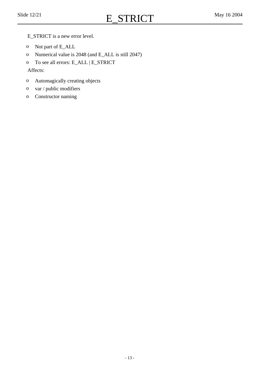- E\_STRICT is a new error level.
- <sup>o</sup> Not part of E\_ALL
- <sup>o</sup> Numerical value is 2048 (and E\_ALL is still 2047)
- <sup>o</sup> To see all errors: E\_ALL | E\_STRICT

 Affects: 

- <sup>o</sup> Automagically creating objects
- <sup>o</sup> var / public modifiers
- <sup>o</sup> Constructor naming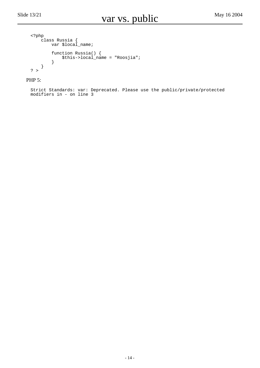```
<?php
 class Russia {
var $local_name;
 function Russia() {
 $this->local_name = "Roosjia";
 }
   }
? >
```
PHP 5:

Strict Standards: var: Deprecated. Please use the public/private/protected modifiers in - on line 3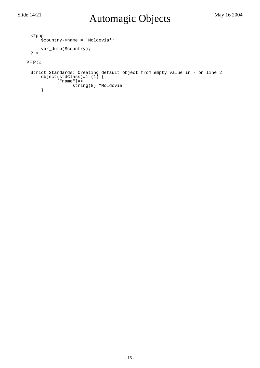```
<?php
     $country->name = 'Moldovia';
     var_dump($country);
? >
```
#### PHP 5:

```
Strict Standards: Creating default object from empty value in - on line 2
     object(stdClass)#1 (1) {
           ["name"]=>
                 string(8) "Moldovia"
     }
```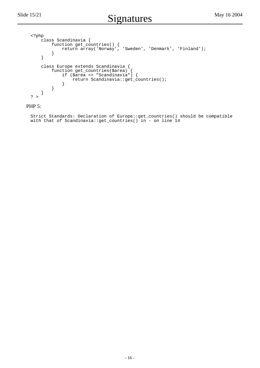```
<?php
    class Scandinavia {
 function get_countries() {
 return array('Norway', 'Sweden', 'Denmark', 'Finland');
 }
    }
 class Europe extends Scandinavia {
 function get_countries($area) {
 if ($area == "Scandinavia") {
           return Scandinavia::get_countries();
 }
        }
    }
? >
```
#### PHP 5:

Strict Standards: Declaration of Europe::get\_countries() should be compatible with that of Scandinavia::get\_countries() in - on line 14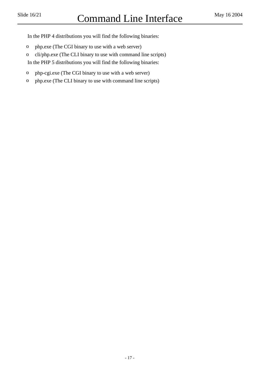In the PHP 4 distributions you will find the following binaries: 

- <sup>o</sup> php.exe (The CGI binary to use with a web server)
- <sup>o</sup> cli/php.exe (The CLI binary to use with command line scripts) In the PHP 5 distributions you will find the following binaries:
- <sup>o</sup> php-cgi.exe (The CGI binary to use with a web server)
- <sup>o</sup> php.exe (The CLI binary to use with command line scripts)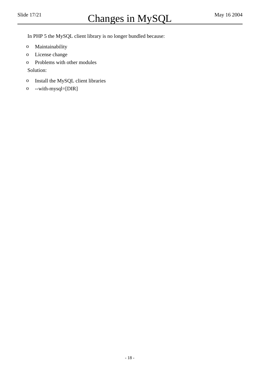In PHP 5 the MySQL client library is no longer bundled because: 

- <sup>o</sup> Maintainability
- <sup>o</sup> License change
- <sup>o</sup> Problems with other modules

 Solution: 

- <sup>o</sup> Install the MySQL client libraries
- <sup>o</sup> --with-mysql=[DIR]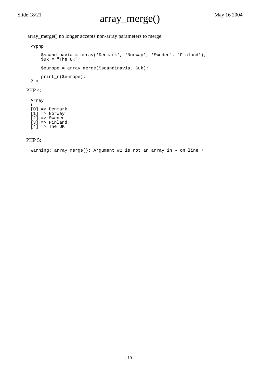array\_merge() no longer accepts non-array parameters to merge. 

```
<?php
     $scandinavia = array('Denmark', 'Norway', 'Sweden', 'Finland');
    \frac{1}{2}uk = "The UK";
     $europe = array_merge($scandinavia, $uk);
     print_r($europe);
? >
```
#### PHP 4:

Array  $\sqrt{2}$  $[0]$  => Denmark [1] => Norway [2] => Sweden [3] => Finland  $[4]$  => The UK )

#### PHP 5:

Warning: array\_merge(): Argument #2 is not an array in - on line 7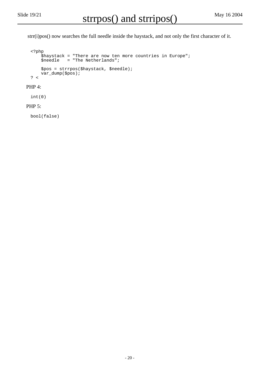strr(i)pos() now searches the full needle inside the haystack, and not only the first character of it.

```
<?php
 $haystack = "There are now ten more countries in Europe";
 $needle = "The Netherlands";
    $pos = strrpos($haystack, $needle);
    var_dump($pos);
? <
```
#### PHP 4:

int(0)

#### PHP 5:

bool(false)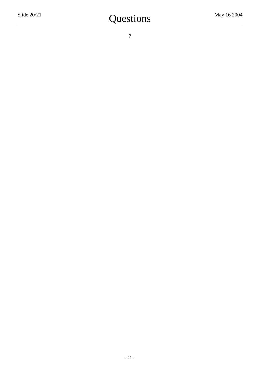?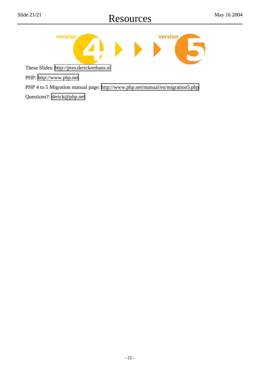

These Slides:<http://pres.derickrethans.nl>

PHP:<http://www.php.net>

PHP 4 to 5 Migration manual page: <http://www.php.net/manual/en/migration5.php>

Questions?: <derick@php.net>